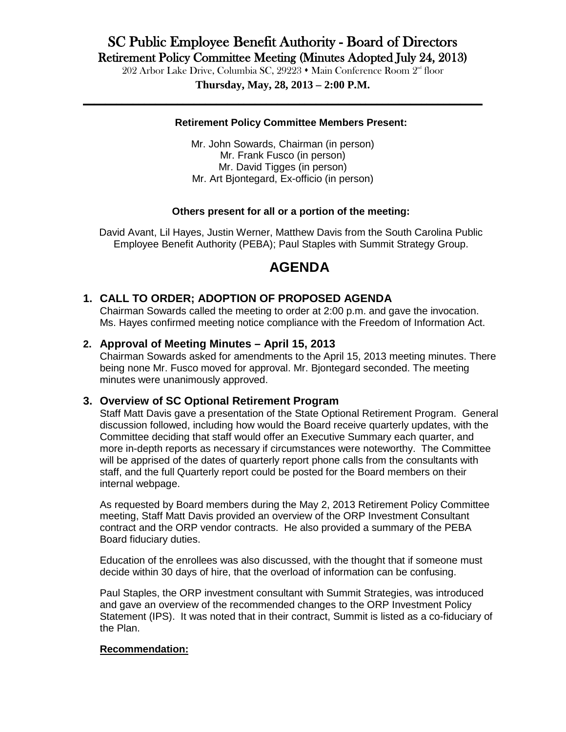# SC Public Employee Benefit Authority - Board of Directors

Retirement Policy Committee Meeting (Minutes Adopted July 24, 2013)<br>202 Arbor Lake Drive, Columbia SC, 29223  $\cdot$  Main Conference Room 2<sup>nd</sup> floor

**Thursday, May, 28, 2013 – 2:00 P.M. \_\_\_\_\_\_\_\_\_\_\_\_\_\_\_\_\_\_\_\_\_\_\_\_\_\_\_\_\_\_\_\_\_\_\_\_\_\_\_\_\_\_\_\_\_\_\_\_\_\_\_\_\_\_\_\_\_\_\_\_\_\_\_\_\_\_\_\_\_\_\_\_**

#### **Retirement Policy Committee Members Present:**

Mr. John Sowards, Chairman (in person) Mr. Frank Fusco (in person) Mr. David Tigges (in person) Mr. Art Bjontegard, Ex-officio (in person)

#### **Others present for all or a portion of the meeting:**

David Avant, Lil Hayes, Justin Werner, Matthew Davis from the South Carolina Public Employee Benefit Authority (PEBA); Paul Staples with Summit Strategy Group.

### **AGENDA**

#### **1. CALL TO ORDER; ADOPTION OF PROPOSED AGENDA**

Chairman Sowards called the meeting to order at 2:00 p.m. and gave the invocation. Ms. Hayes confirmed meeting notice compliance with the Freedom of Information Act.

#### **2. Approval of Meeting Minutes – April 15, 2013**

Chairman Sowards asked for amendments to the April 15, 2013 meeting minutes. There being none Mr. Fusco moved for approval. Mr. Bjontegard seconded. The meeting minutes were unanimously approved.

#### **3. Overview of SC Optional Retirement Program**

Staff Matt Davis gave a presentation of the State Optional Retirement Program. General discussion followed, including how would the Board receive quarterly updates, with the Committee deciding that staff would offer an Executive Summary each quarter, and more in-depth reports as necessary if circumstances were noteworthy. The Committee will be apprised of the dates of quarterly report phone calls from the consultants with staff, and the full Quarterly report could be posted for the Board members on their internal webpage.

As requested by Board members during the May 2, 2013 Retirement Policy Committee meeting, Staff Matt Davis provided an overview of the ORP Investment Consultant contract and the ORP vendor contracts. He also provided a summary of the PEBA Board fiduciary duties.

Education of the enrollees was also discussed, with the thought that if someone must decide within 30 days of hire, that the overload of information can be confusing.

Paul Staples, the ORP investment consultant with Summit Strategies, was introduced and gave an overview of the recommended changes to the ORP Investment Policy Statement (IPS). It was noted that in their contract, Summit is listed as a co-fiduciary of the Plan.

#### **Recommendation:**